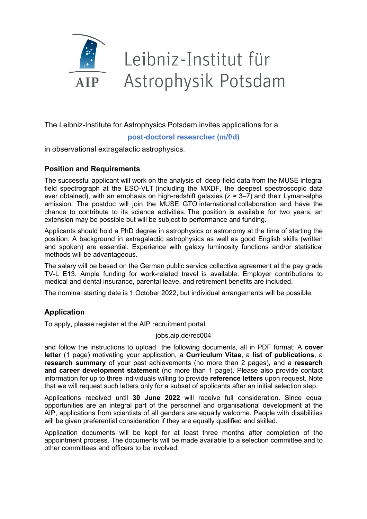

# Leibniz-Institut für Astrophysik Potsdam

The Leibniz-Institute for Astrophysics Potsdam invites applications for a

## **post-doctoral researcher (m/f/d)**

in observational extragalactic astrophysics.

# **Position and Requirements**

The successful applicant will work on the analysis of deep-field data from the MUSE integral field spectrograph at the ESO-VLT (including the MXDF, the deepest spectroscopic data ever obtained), with an emphasis on high-redshift galaxies ( $z \approx 3-7$ ) and their Lyman-alpha emission. The postdoc will join the MUSE GTO international collaboration and have the chance to contribute to its science activities. The position is available for two years; an extension may be possible but will be subject to performance and funding.

Applicants should hold a PhD degree in astrophysics or astronomy at the time of starting the position. A background in extragalactic astrophysics as well as good English skills (written and spoken) are essential. Experience with galaxy luminosity functions and/or statistical methods will be advantageous.

The salary will be based on the German public service collective agreement at the pay grade TV-L E13. Ample funding for work-related travel is available. Employer contributions to medical and dental insurance, parental leave, and retirement benefits are included.

The nominal starting date is 1 October 2022, but individual arrangements will be possible.

# **Application**

To apply, please register at the AIP recruitment portal

#### jobs.aip.de/rec004

and follow the instructions to upload the following documents, all in PDF format: A **cover letter** (1 page) motivating your application, a **Curriculum Vitae**, a **list of publications**, a **research summary** of your past achievements (no more than 2 pages), and a **research and career development statement** (no more than 1 page). Please also provide contact information for up to three individuals willing to provide **reference letters** upon request. Note that we will request such letters only for a subset of applicants after an initial selection step.

Applications received until **30 June 2022** will receive full consideration. Since equal opportunities are an integral part of the personnel and organisational development at the AIP, applications from scientists of all genders are equally welcome. People with disabilities will be given preferential consideration if they are equally qualified and skilled.

Application documents will be kept for at least three months after completion of the appointment process. The documents will be made available to a selection committee and to other committees and officers to be involved.